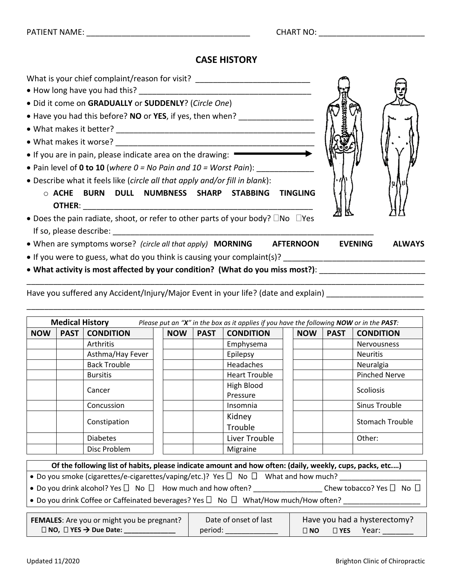## **CASE HISTORY**

| What is your chief complaint/reason for visit? _________________________________                                                                                                                                               |                |               |
|--------------------------------------------------------------------------------------------------------------------------------------------------------------------------------------------------------------------------------|----------------|---------------|
| • Did it come on GRADUALLY or SUDDENLY? (Circle One)                                                                                                                                                                           |                |               |
| • Have you had this before? NO or YES, if yes, then when?                                                                                                                                                                      |                |               |
|                                                                                                                                                                                                                                |                |               |
|                                                                                                                                                                                                                                |                |               |
| • If you are in pain, please indicate area on the drawing:                                                                                                                                                                     |                |               |
| • Pain level of 0 to 10 (where $0 = No$ Pain and $10 = Work$ Pain):                                                                                                                                                            |                |               |
| • Describe what it feels like (circle all that apply and/or fill in blank):                                                                                                                                                    |                |               |
| $\circ$ ACHE BURN DULL NUMBNESS SHARP STABBING TINGLING                                                                                                                                                                        |                |               |
|                                                                                                                                                                                                                                |                |               |
| • Does the pain radiate, shoot, or refer to other parts of your body? $\square$ No $\square$ Yes                                                                                                                               |                |               |
| If so, please describe: and the state of the state of the state of the state of the state of the state of the state of the state of the state of the state of the state of the state of the state of the state of the state of |                |               |
| • When are symptoms worse? (circle all that apply) <b>MORNING</b> AFTERNOON                                                                                                                                                    | <b>EVENING</b> | <b>ALWAYS</b> |
|                                                                                                                                                                                                                                |                |               |
| • What activity is most affected by your condition? (What do you miss most?): ________________________________                                                                                                                 |                |               |
|                                                                                                                                                                                                                                |                |               |

Have you suffered any Accident/Injury/Major Event in your life? (date and explain) \_\_\_\_\_\_\_\_\_\_\_\_\_\_\_\_\_\_\_\_\_\_\_\_\_\_\_

| <b>Medical History</b><br>Please put an "X" in the box as it applies if you have the following NOW or in the PAST: |             |                     |  |            |             |                        |            |             |                        |
|--------------------------------------------------------------------------------------------------------------------|-------------|---------------------|--|------------|-------------|------------------------|------------|-------------|------------------------|
| <b>NOW</b>                                                                                                         | <b>PAST</b> | <b>CONDITION</b>    |  | <b>NOW</b> | <b>PAST</b> | <b>CONDITION</b>       | <b>NOW</b> | <b>PAST</b> | <b>CONDITION</b>       |
|                                                                                                                    |             | Arthritis           |  |            |             | Emphysema              |            |             | <b>Nervousness</b>     |
|                                                                                                                    |             | Asthma/Hay Fever    |  |            |             | Epilepsy               |            |             | <b>Neuritis</b>        |
|                                                                                                                    |             | <b>Back Trouble</b> |  |            |             | Headaches              |            |             | Neuralgia              |
|                                                                                                                    |             | <b>Bursitis</b>     |  |            |             | <b>Heart Trouble</b>   |            |             | <b>Pinched Nerve</b>   |
|                                                                                                                    |             | Cancer              |  |            |             | High Blood<br>Pressure |            |             | <b>Scoliosis</b>       |
|                                                                                                                    |             | Concussion          |  |            |             | Insomnia               |            |             | Sinus Trouble          |
|                                                                                                                    |             | Constipation        |  |            |             | Kidney<br>Trouble      |            |             | <b>Stomach Trouble</b> |
|                                                                                                                    |             | <b>Diabetes</b>     |  |            |             | Liver Trouble          |            |             | Other:                 |
|                                                                                                                    |             | Disc Problem        |  |            |             | Migraine               |            |             |                        |

| Of the following list of habits, please indicate amount and how often: (daily, weekly, cups, packs, etc) |                                    |
|----------------------------------------------------------------------------------------------------------|------------------------------------|
| • Do you smoke (cigarettes/e-cigarettes/vaping/etc.)? Yes $\Box$ No $\Box$ What and how much?            |                                    |
| • Do you drink alcohol? Yes $\Box$ No $\Box$ How much and how often?                                     | Chew tobacco? Yes $\Box$ No $\Box$ |
| $\bullet$ Do you drink Coffee or Caffeinated beverages? Yes $\Box$ No $\Box$ What/How much/How often?    |                                    |

| <b>FEMALES:</b> Are you or might you be pregnant? | Date of onset of last | Have you had a hysterectomy?        |
|---------------------------------------------------|-----------------------|-------------------------------------|
| $\Box$ NO, $\Box$ YES $\rightarrow$ Due Date:     | period:               | Year:<br>$\Box$ NO<br>$\square$ YES |